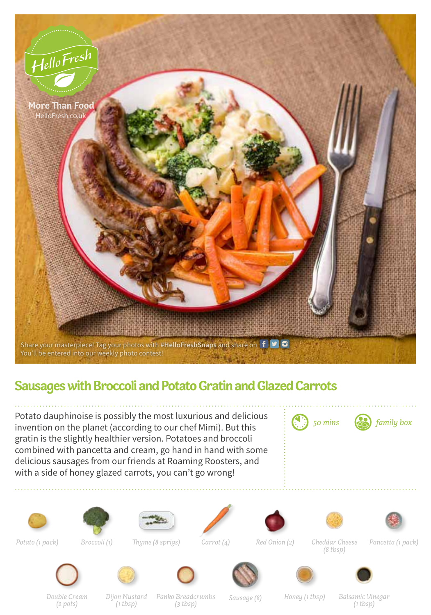

## **Sausages with Broccoli and Potato Gratin and Glazed Carrots**

Potato dauphinoise is possibly the most luxurious and delicious invention on the planet (according to our chef Mimi). But this gratin is the slightly healthier version. Potatoes and broccoli combined with pancetta and cream, go hand in hand with some delicious sausages from our friends at Roaming Roosters, and with a side of honey glazed carrots, you can't go wrong!





















*Thyme (8 sprigs) Carrot (4) Red Onion (2) Potato (1 pack) Broccoli (1) Pancetta (1 pack) Cheddar Cheese (8 tbsp)*







*Double Cream (2 pots)*

*Dijon Mustard (1 tbsp)*

*Panko Breadcrumbs* 

*(3 tbsp) Sausage (8) Honey (1 tbsp) Balsamic Vinegar (1 tbsp)*